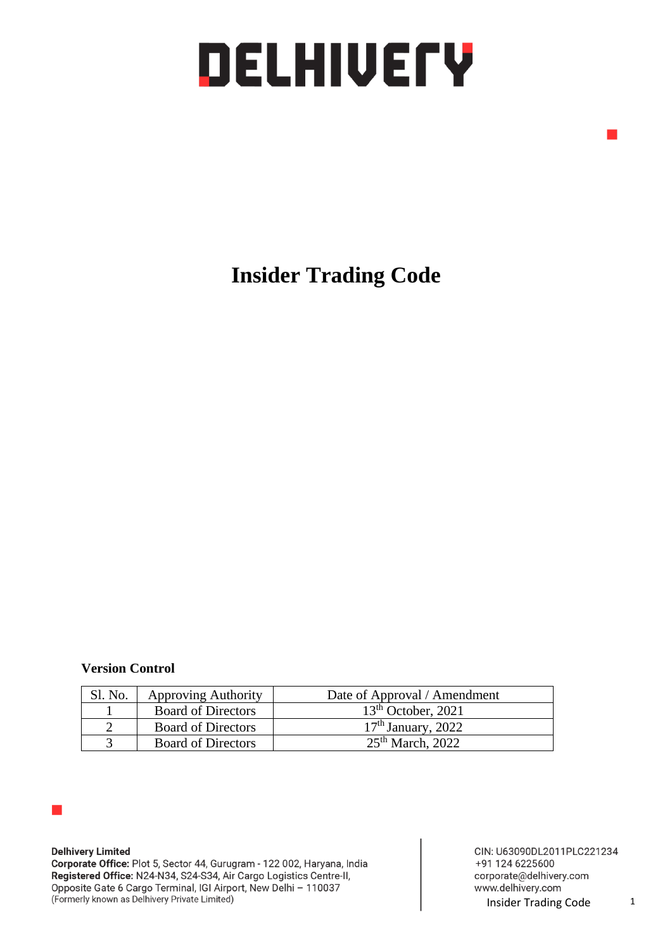# **DELHIVETY**

## **Insider Trading Code**

#### **Version Control**

| Sl. No. | <b>Approving Authority</b> | Date of Approval / Amendment |
|---------|----------------------------|------------------------------|
|         | <b>Board of Directors</b>  | $13th$ October, 2021         |
|         | <b>Board of Directors</b>  | $17th$ January, 2022         |
|         | <b>Board of Directors</b>  | $25th$ March, 2022           |

**Delhivery Limited** 

Corporate Office: Plot 5, Sector 44, Gurugram - 122 002, Haryana, India Registered Office: N24-N34, S24-S34, Air Cargo Logistics Centre-II, Opposite Gate 6 Cargo Terminal, IGI Airport, New Delhi - 110037 (Formerly known as Delhivery Private Limited)

CIN: U63090DL2011PLC221234 +91 124 6225600 corporate@delhivery.com www.delhivery.com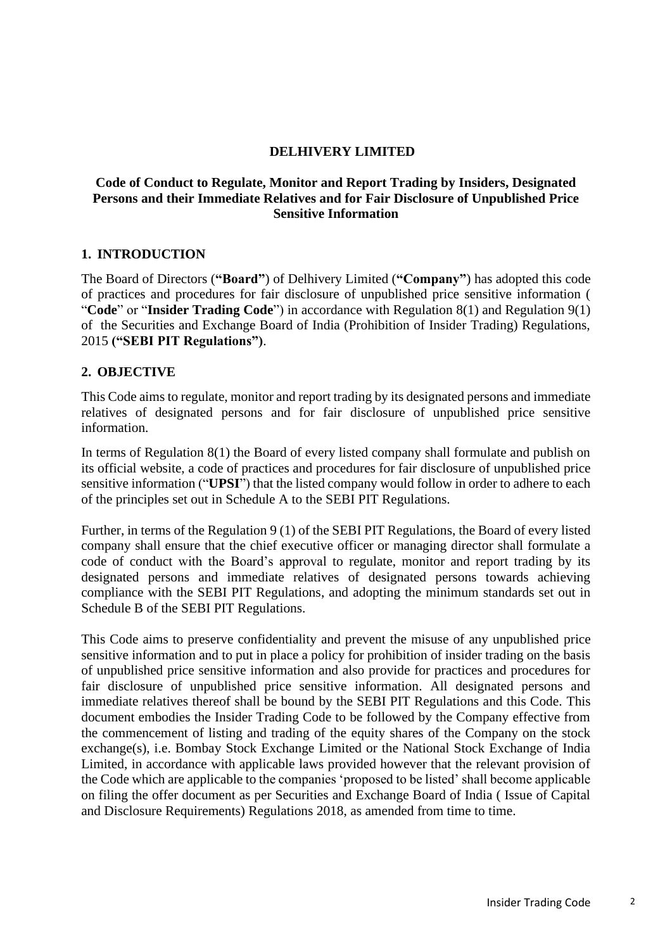#### **DELHIVERY LIMITED**

#### **Code of Conduct to Regulate, Monitor and Report Trading by Insiders, Designated Persons and their Immediate Relatives and for Fair Disclosure of Unpublished Price Sensitive Information**

#### **1. INTRODUCTION**

The Board of Directors (**"Board"**) of Delhivery Limited (**"Company"**) has adopted this code of practices and procedures for fair disclosure of unpublished price sensitive information ( "**Code**" or "**Insider Trading Code**") in accordance with Regulation 8(1) and Regulation 9(1) of the Securities and Exchange Board of India (Prohibition of Insider Trading) Regulations, 2015 **("SEBI PIT Regulations")**.

#### **2. OBJECTIVE**

This Code aims to regulate, monitor and report trading by its designated persons and immediate relatives of designated persons and for fair disclosure of unpublished price sensitive information.

In terms of Regulation 8(1) the Board of every listed company shall formulate and publish on its official website, a code of practices and procedures for fair disclosure of unpublished price sensitive information ("**UPSI**") that the listed company would follow in order to adhere to each of the principles set out in Schedule A to the SEBI PIT Regulations.

Further, in terms of the Regulation 9 (1) of the SEBI PIT Regulations, the Board of every listed company shall ensure that the chief executive officer or managing director shall formulate a code of conduct with the Board's approval to regulate, monitor and report trading by its designated persons and immediate relatives of designated persons towards achieving compliance with the SEBI PIT Regulations, and adopting the minimum standards set out in Schedule B of the SEBI PIT Regulations.

This Code aims to preserve confidentiality and prevent the misuse of any unpublished price sensitive information and to put in place a policy for prohibition of insider trading on the basis of unpublished price sensitive information and also provide for practices and procedures for fair disclosure of unpublished price sensitive information. All designated persons and immediate relatives thereof shall be bound by the SEBI PIT Regulations and this Code. This document embodies the Insider Trading Code to be followed by the Company effective from the commencement of listing and trading of the equity shares of the Company on the stock exchange(s), i.e. Bombay Stock Exchange Limited or the National Stock Exchange of India Limited, in accordance with applicable laws provided however that the relevant provision of the Code which are applicable to the companies 'proposed to be listed' shall become applicable on filing the offer document as per Securities and Exchange Board of India ( Issue of Capital and Disclosure Requirements) Regulations 2018, as amended from time to time.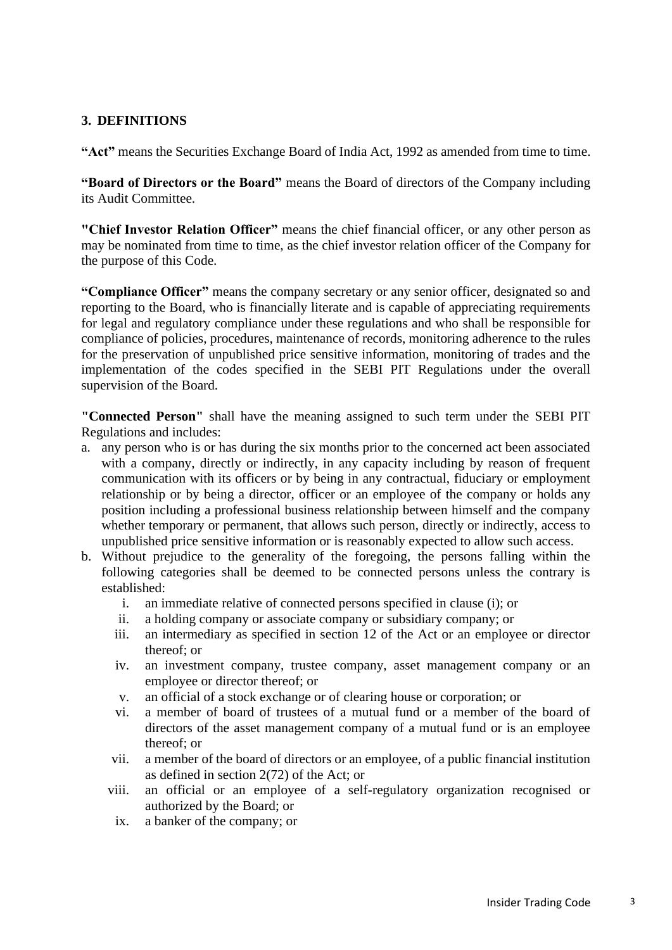#### **3. DEFINITIONS**

**"Act"** means the Securities Exchange Board of India Act, 1992 as amended from time to time.

**"Board of Directors or the Board"** means the Board of directors of the Company including its Audit Committee.

**"Chief Investor Relation Officer"** means the chief financial officer, or any other person as may be nominated from time to time, as the chief investor relation officer of the Company for the purpose of this Code.

**"Compliance Officer"** means the company secretary or any senior officer, designated so and reporting to the Board, who is financially literate and is capable of appreciating requirements for legal and regulatory compliance under these regulations and who shall be responsible for compliance of policies, procedures, maintenance of records, monitoring adherence to the rules for the preservation of unpublished price sensitive information, monitoring of trades and the implementation of the codes specified in the SEBI PIT Regulations under the overall supervision of the Board.

**"Connected Person"** shall have the meaning assigned to such term under the SEBI PIT Regulations and includes:

- a. any person who is or has during the six months prior to the concerned act been associated with a company, directly or indirectly, in any capacity including by reason of frequent communication with its officers or by being in any contractual, fiduciary or employment relationship or by being a director, officer or an employee of the company or holds any position including a professional business relationship between himself and the company whether temporary or permanent, that allows such person, directly or indirectly, access to unpublished price sensitive information or is reasonably expected to allow such access.
- b. Without prejudice to the generality of the foregoing, the persons falling within the following categories shall be deemed to be connected persons unless the contrary is established:
	- i. an immediate relative of connected persons specified in clause (i); or
	- ii. a holding company or associate company or subsidiary company; or
	- iii. an intermediary as specified in section 12 of the Act or an employee or director thereof; or
	- iv. an investment company, trustee company, asset management company or an employee or director thereof; or
	- v. an official of a stock exchange or of clearing house or corporation; or
	- vi. a member of board of trustees of a mutual fund or a member of the board of directors of the asset management company of a mutual fund or is an employee thereof; or
	- vii. a member of the board of directors or an employee, of a public financial institution as defined in section 2(72) of the Act; or
	- viii. an official or an employee of a self-regulatory organization recognised or authorized by the Board; or
		- ix. a banker of the company; or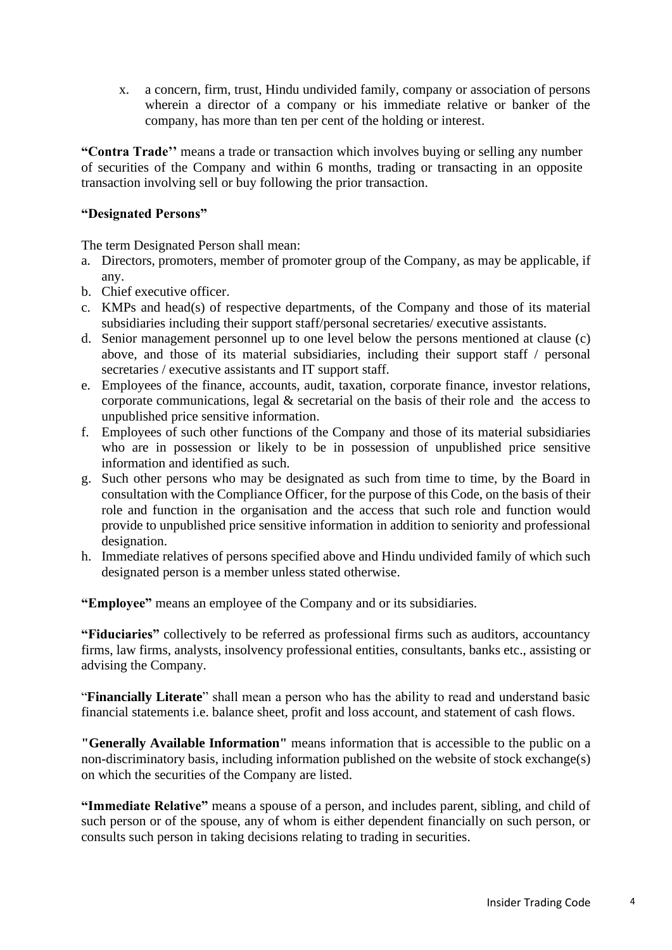x. a concern, firm, trust, Hindu undivided family, company or association of persons wherein a director of a company or his immediate relative or banker of the company, has more than ten per cent of the holding or interest.

**"Contra Trade''** means a trade or transaction which involves buying or selling any number of securities of the Company and within 6 months, trading or transacting in an opposite transaction involving sell or buy following the prior transaction.

#### **"Designated Persons"**

The term Designated Person shall mean:

- a. Directors, promoters, member of promoter group of the Company, as may be applicable, if any.
- b. Chief executive officer.
- c. KMPs and head(s) of respective departments, of the Company and those of its material subsidiaries including their support staff/personal secretaries/ executive assistants.
- d. Senior management personnel up to one level below the persons mentioned at clause (c) above, and those of its material subsidiaries, including their support staff / personal secretaries / executive assistants and IT support staff.
- e. Employees of the finance, accounts, audit, taxation, corporate finance, investor relations, corporate communications, legal & secretarial on the basis of their role and the access to unpublished price sensitive information.
- f. Employees of such other functions of the Company and those of its material subsidiaries who are in possession or likely to be in possession of unpublished price sensitive information and identified as such.
- g. Such other persons who may be designated as such from time to time, by the Board in consultation with the Compliance Officer, for the purpose of this Code, on the basis of their role and function in the organisation and the access that such role and function would provide to unpublished price sensitive information in addition to seniority and professional designation.
- h. Immediate relatives of persons specified above and Hindu undivided family of which such designated person is a member unless stated otherwise.

**"Employee"** means an employee of the Company and or its subsidiaries.

**"Fiduciaries"** collectively to be referred as professional firms such as auditors, accountancy firms, law firms, analysts, insolvency professional entities, consultants, banks etc., assisting or advising the Company.

"**Financially Literate**" shall mean a person who has the ability to read and understand basic financial statements i.e. balance sheet, profit and loss account, and statement of cash flows.

**"Generally Available Information"** means information that is accessible to the public on a non-discriminatory basis, including information published on the website of stock exchange(s) on which the securities of the Company are listed.

**"Immediate Relative"** means a spouse of a person, and includes parent, sibling, and child of such person or of the spouse, any of whom is either dependent financially on such person, or consults such person in taking decisions relating to trading in securities.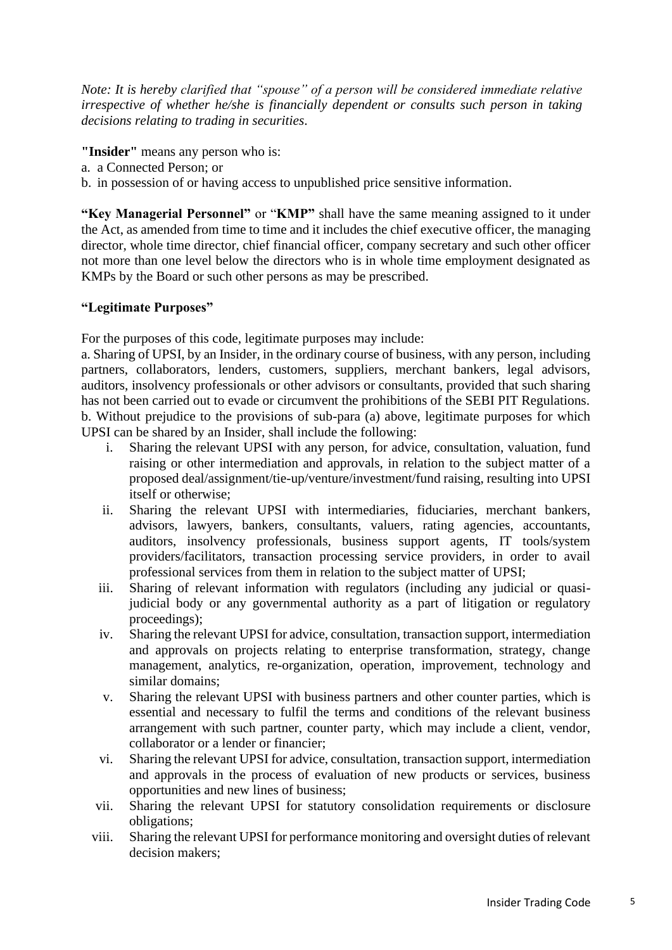*Note: It is hereby clarified that "spouse" of a person will be considered immediate relative irrespective of whether he/she is financially dependent or consults such person in taking decisions relating to trading in securities*.

**"Insider"** means any person who is:

- a. a Connected Person; or
- b. in possession of or having access to unpublished price sensitive information.

**"Key Managerial Personnel"** or "**KMP"** shall have the same meaning assigned to it under the Act, as amended from time to time and it includes the chief executive officer, the managing director, whole time director, chief financial officer, company secretary and such other officer not more than one level below the directors who is in whole time employment designated as KMPs by the Board or such other persons as may be prescribed.

#### **"Legitimate Purposes"**

For the purposes of this code, legitimate purposes may include:

a. Sharing of UPSI, by an Insider, in the ordinary course of business, with any person, including partners, collaborators, lenders, customers, suppliers, merchant bankers, legal advisors, auditors, insolvency professionals or other advisors or consultants, provided that such sharing has not been carried out to evade or circumvent the prohibitions of the SEBI PIT Regulations. b. Without prejudice to the provisions of sub-para (a) above, legitimate purposes for which UPSI can be shared by an Insider, shall include the following:

- i. Sharing the relevant UPSI with any person, for advice, consultation, valuation, fund raising or other intermediation and approvals, in relation to the subject matter of a proposed deal/assignment/tie-up/venture/investment/fund raising, resulting into UPSI itself or otherwise;
- ii. Sharing the relevant UPSI with intermediaries, fiduciaries, merchant bankers, advisors, lawyers, bankers, consultants, valuers, rating agencies, accountants, auditors, insolvency professionals, business support agents, IT tools/system providers/facilitators, transaction processing service providers, in order to avail professional services from them in relation to the subject matter of UPSI;
- iii. Sharing of relevant information with regulators (including any judicial or quasijudicial body or any governmental authority as a part of litigation or regulatory proceedings);
- iv. Sharing the relevant UPSI for advice, consultation, transaction support, intermediation and approvals on projects relating to enterprise transformation, strategy, change management, analytics, re-organization, operation, improvement, technology and similar domains;
- v. Sharing the relevant UPSI with business partners and other counter parties, which is essential and necessary to fulfil the terms and conditions of the relevant business arrangement with such partner, counter party, which may include a client, vendor, collaborator or a lender or financier;
- vi. Sharing the relevant UPSI for advice, consultation, transaction support, intermediation and approvals in the process of evaluation of new products or services, business opportunities and new lines of business;
- vii. Sharing the relevant UPSI for statutory consolidation requirements or disclosure obligations;
- viii. Sharing the relevant UPSI for performance monitoring and oversight duties of relevant decision makers;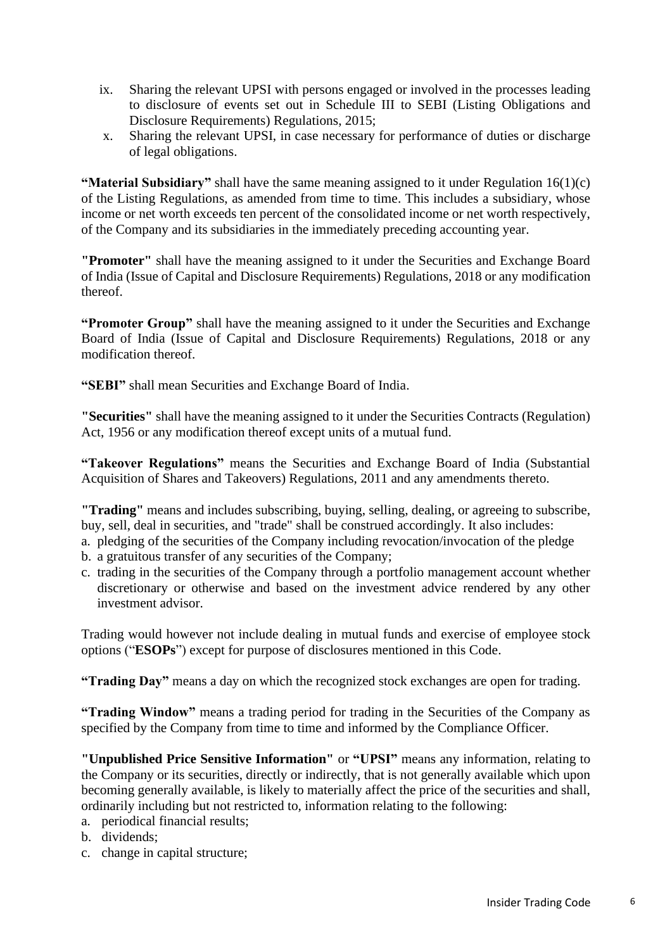- ix. Sharing the relevant UPSI with persons engaged or involved in the processes leading to disclosure of events set out in Schedule III to SEBI (Listing Obligations and Disclosure Requirements) Regulations, 2015;
- x. Sharing the relevant UPSI, in case necessary for performance of duties or discharge of legal obligations.

**"Material Subsidiary"** shall have the same meaning assigned to it under Regulation 16(1)(c) of the Listing Regulations, as amended from time to time. This includes a subsidiary, whose income or net worth exceeds ten percent of the consolidated income or net worth respectively, of the Company and its subsidiaries in the immediately preceding accounting year.

**"Promoter"** shall have the meaning assigned to it under the Securities and Exchange Board of India (Issue of Capital and Disclosure Requirements) Regulations, 2018 or any modification thereof.

**"Promoter Group"** shall have the meaning assigned to it under the Securities and Exchange Board of India (Issue of Capital and Disclosure Requirements) Regulations, 2018 or any modification thereof.

**"SEBI"** shall mean Securities and Exchange Board of India.

**"Securities"** shall have the meaning assigned to it under the Securities Contracts (Regulation) Act, 1956 or any modification thereof except units of a mutual fund.

**"Takeover Regulations"** means the Securities and Exchange Board of India (Substantial Acquisition of Shares and Takeovers) Regulations, 2011 and any amendments thereto.

**"Trading"** means and includes subscribing, buying, selling, dealing, or agreeing to subscribe, buy, sell, deal in securities, and "trade" shall be construed accordingly. It also includes:

a. pledging of the securities of the Company including revocation/invocation of the pledge

- b. a gratuitous transfer of any securities of the Company;
- c. trading in the securities of the Company through a portfolio management account whether discretionary or otherwise and based on the investment advice rendered by any other investment advisor.

Trading would however not include dealing in mutual funds and exercise of employee stock options ("**ESOPs**") except for purpose of disclosures mentioned in this Code.

**"Trading Day"** means a day on which the recognized stock exchanges are open for trading.

**"Trading Window"** means a trading period for trading in the Securities of the Company as specified by the Company from time to time and informed by the Compliance Officer.

**"Unpublished Price Sensitive Information"** or **"UPSI"** means any information, relating to the Company or its securities, directly or indirectly, that is not generally available which upon becoming generally available, is likely to materially affect the price of the securities and shall, ordinarily including but not restricted to, information relating to the following:

- a. periodical financial results;
- b. dividends;
- c. change in capital structure;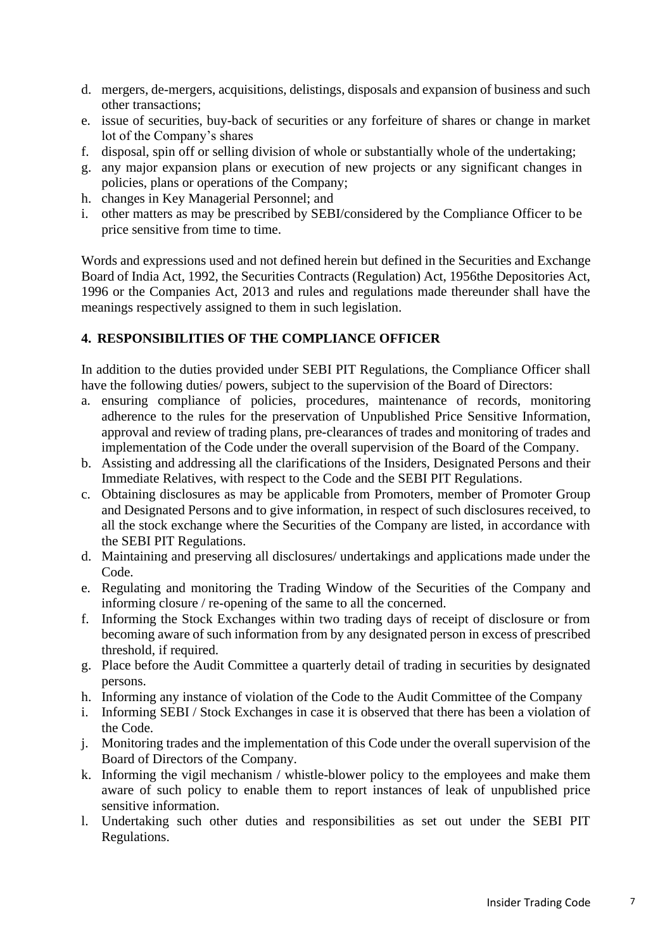- d. mergers, de-mergers, acquisitions, delistings, disposals and expansion of business and such other transactions;
- e. issue of securities, buy-back of securities or any forfeiture of shares or change in market lot of the Company's shares
- f. disposal, spin off or selling division of whole or substantially whole of the undertaking;
- g. any major expansion plans or execution of new projects or any significant changes in policies, plans or operations of the Company;
- h. changes in Key Managerial Personnel; and
- i. other matters as may be prescribed by SEBI/considered by the Compliance Officer to be price sensitive from time to time.

Words and expressions used and not defined herein but defined in the Securities and Exchange Board of India Act, 1992, the Securities Contracts (Regulation) Act, 1956the Depositories Act, 1996 or the Companies Act, 2013 and rules and regulations made thereunder shall have the meanings respectively assigned to them in such legislation.

#### **4. RESPONSIBILITIES OF THE COMPLIANCE OFFICER**

In addition to the duties provided under SEBI PIT Regulations, the Compliance Officer shall have the following duties/ powers, subject to the supervision of the Board of Directors:

- a. ensuring compliance of policies, procedures, maintenance of records, monitoring adherence to the rules for the preservation of Unpublished Price Sensitive Information, approval and review of trading plans, pre-clearances of trades and monitoring of trades and implementation of the Code under the overall supervision of the Board of the Company.
- b. Assisting and addressing all the clarifications of the Insiders, Designated Persons and their Immediate Relatives, with respect to the Code and the SEBI PIT Regulations.
- c. Obtaining disclosures as may be applicable from Promoters, member of Promoter Group and Designated Persons and to give information, in respect of such disclosures received, to all the stock exchange where the Securities of the Company are listed, in accordance with the SEBI PIT Regulations.
- d. Maintaining and preserving all disclosures/ undertakings and applications made under the Code.
- e. Regulating and monitoring the Trading Window of the Securities of the Company and informing closure / re-opening of the same to all the concerned.
- f. Informing the Stock Exchanges within two trading days of receipt of disclosure or from becoming aware of such information from by any designated person in excess of prescribed threshold, if required.
- g. Place before the Audit Committee a quarterly detail of trading in securities by designated persons.
- h. Informing any instance of violation of the Code to the Audit Committee of the Company
- i. Informing SEBI / Stock Exchanges in case it is observed that there has been a violation of the Code.
- j. Monitoring trades and the implementation of this Code under the overall supervision of the Board of Directors of the Company.
- k. Informing the vigil mechanism / whistle-blower policy to the employees and make them aware of such policy to enable them to report instances of leak of unpublished price sensitive information.
- l. Undertaking such other duties and responsibilities as set out under the SEBI PIT Regulations.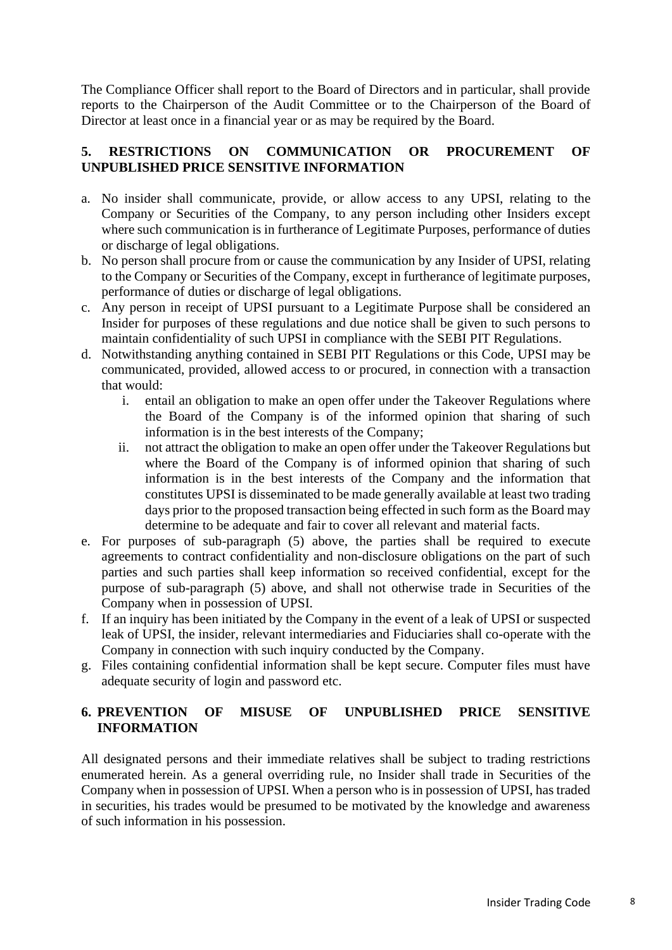The Compliance Officer shall report to the Board of Directors and in particular, shall provide reports to the Chairperson of the Audit Committee or to the Chairperson of the Board of Director at least once in a financial year or as may be required by the Board.

#### **5. RESTRICTIONS ON COMMUNICATION OR PROCUREMENT OF UNPUBLISHED PRICE SENSITIVE INFORMATION**

- a. No insider shall communicate, provide, or allow access to any UPSI, relating to the Company or Securities of the Company, to any person including other Insiders except where such communication is in furtherance of Legitimate Purposes, performance of duties or discharge of legal obligations.
- b. No person shall procure from or cause the communication by any Insider of UPSI, relating to the Company or Securities of the Company, except in furtherance of legitimate purposes, performance of duties or discharge of legal obligations.
- c. Any person in receipt of UPSI pursuant to a Legitimate Purpose shall be considered an Insider for purposes of these regulations and due notice shall be given to such persons to maintain confidentiality of such UPSI in compliance with the SEBI PIT Regulations.
- d. Notwithstanding anything contained in SEBI PIT Regulations or this Code, UPSI may be communicated, provided, allowed access to or procured, in connection with a transaction that would:
	- i. entail an obligation to make an open offer under the Takeover Regulations where the Board of the Company is of the informed opinion that sharing of such information is in the best interests of the Company;
	- ii. not attract the obligation to make an open offer under the Takeover Regulations but where the Board of the Company is of informed opinion that sharing of such information is in the best interests of the Company and the information that constitutes UPSI is disseminated to be made generally available at least two trading days prior to the proposed transaction being effected in such form as the Board may determine to be adequate and fair to cover all relevant and material facts.
- e. For purposes of sub-paragraph (5) above, the parties shall be required to execute agreements to contract confidentiality and non-disclosure obligations on the part of such parties and such parties shall keep information so received confidential, except for the purpose of sub-paragraph (5) above, and shall not otherwise trade in Securities of the Company when in possession of UPSI.
- f. If an inquiry has been initiated by the Company in the event of a leak of UPSI or suspected leak of UPSI, the insider, relevant intermediaries and Fiduciaries shall co-operate with the Company in connection with such inquiry conducted by the Company.
- g. Files containing confidential information shall be kept secure. Computer files must have adequate security of login and password etc.

#### **6. PREVENTION OF MISUSE OF UNPUBLISHED PRICE SENSITIVE INFORMATION**

All designated persons and their immediate relatives shall be subject to trading restrictions enumerated herein. As a general overriding rule, no Insider shall trade in Securities of the Company when in possession of UPSI. When a person who is in possession of UPSI, has traded in securities, his trades would be presumed to be motivated by the knowledge and awareness of such information in his possession.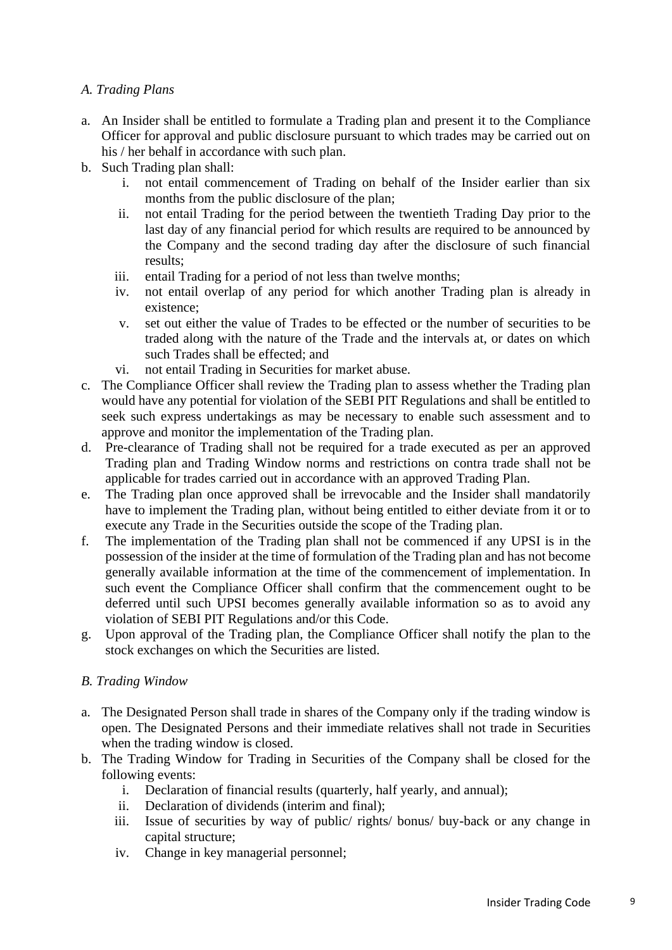#### *A. Trading Plans*

- a. An Insider shall be entitled to formulate a Trading plan and present it to the Compliance Officer for approval and public disclosure pursuant to which trades may be carried out on his / her behalf in accordance with such plan.
- b. Such Trading plan shall:
	- i. not entail commencement of Trading on behalf of the Insider earlier than six months from the public disclosure of the plan;
	- ii. not entail Trading for the period between the twentieth Trading Day prior to the last day of any financial period for which results are required to be announced by the Company and the second trading day after the disclosure of such financial results;
	- iii. entail Trading for a period of not less than twelve months;
	- iv. not entail overlap of any period for which another Trading plan is already in existence;
	- v. set out either the value of Trades to be effected or the number of securities to be traded along with the nature of the Trade and the intervals at, or dates on which such Trades shall be effected; and
	- vi. not entail Trading in Securities for market abuse.
- c. The Compliance Officer shall review the Trading plan to assess whether the Trading plan would have any potential for violation of the SEBI PIT Regulations and shall be entitled to seek such express undertakings as may be necessary to enable such assessment and to approve and monitor the implementation of the Trading plan.
- d. Pre-clearance of Trading shall not be required for a trade executed as per an approved Trading plan and Trading Window norms and restrictions on contra trade shall not be applicable for trades carried out in accordance with an approved Trading Plan.
- e. The Trading plan once approved shall be irrevocable and the Insider shall mandatorily have to implement the Trading plan, without being entitled to either deviate from it or to execute any Trade in the Securities outside the scope of the Trading plan.
- f. The implementation of the Trading plan shall not be commenced if any UPSI is in the possession of the insider at the time of formulation of the Trading plan and has not become generally available information at the time of the commencement of implementation. In such event the Compliance Officer shall confirm that the commencement ought to be deferred until such UPSI becomes generally available information so as to avoid any violation of SEBI PIT Regulations and/or this Code.
- g. Upon approval of the Trading plan, the Compliance Officer shall notify the plan to the stock exchanges on which the Securities are listed.

#### *B. Trading Window*

- a. The Designated Person shall trade in shares of the Company only if the trading window is open. The Designated Persons and their immediate relatives shall not trade in Securities when the trading window is closed.
- b. The Trading Window for Trading in Securities of the Company shall be closed for the following events:
	- i. Declaration of financial results (quarterly, half yearly, and annual);
	- ii. Declaration of dividends (interim and final);
	- iii. Issue of securities by way of public/ rights/ bonus/ buy-back or any change in capital structure;
	- iv. Change in key managerial personnel;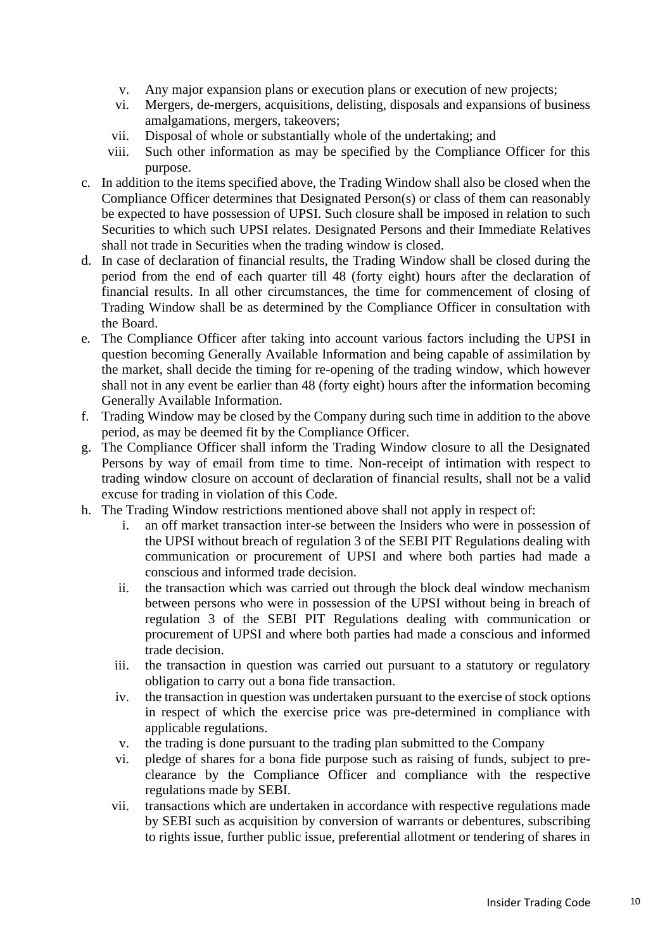- v. Any major expansion plans or execution plans or execution of new projects;
- vi. Mergers, de-mergers, acquisitions, delisting, disposals and expansions of business amalgamations, mergers, takeovers;
- vii. Disposal of whole or substantially whole of the undertaking; and
- viii. Such other information as may be specified by the Compliance Officer for this purpose.
- c. In addition to the items specified above, the Trading Window shall also be closed when the Compliance Officer determines that Designated Person(s) or class of them can reasonably be expected to have possession of UPSI. Such closure shall be imposed in relation to such Securities to which such UPSI relates. Designated Persons and their Immediate Relatives shall not trade in Securities when the trading window is closed.
- d. In case of declaration of financial results, the Trading Window shall be closed during the period from the end of each quarter till 48 (forty eight) hours after the declaration of financial results. In all other circumstances, the time for commencement of closing of Trading Window shall be as determined by the Compliance Officer in consultation with the Board.
- e. The Compliance Officer after taking into account various factors including the UPSI in question becoming Generally Available Information and being capable of assimilation by the market, shall decide the timing for re-opening of the trading window, which however shall not in any event be earlier than 48 (forty eight) hours after the information becoming Generally Available Information.
- f. Trading Window may be closed by the Company during such time in addition to the above period, as may be deemed fit by the Compliance Officer.
- g. The Compliance Officer shall inform the Trading Window closure to all the Designated Persons by way of email from time to time. Non-receipt of intimation with respect to trading window closure on account of declaration of financial results, shall not be a valid excuse for trading in violation of this Code.
- h. The Trading Window restrictions mentioned above shall not apply in respect of:
	- i. an off market transaction inter-se between the Insiders who were in possession of the UPSI without breach of regulation 3 of the SEBI PIT Regulations dealing with communication or procurement of UPSI and where both parties had made a conscious and informed trade decision.
	- ii. the transaction which was carried out through the block deal window mechanism between persons who were in possession of the UPSI without being in breach of regulation 3 of the SEBI PIT Regulations dealing with communication or procurement of UPSI and where both parties had made a conscious and informed trade decision.
	- iii. the transaction in question was carried out pursuant to a statutory or regulatory obligation to carry out a bona fide transaction.
	- iv. the transaction in question was undertaken pursuant to the exercise of stock options in respect of which the exercise price was pre-determined in compliance with applicable regulations.
	- v. the trading is done pursuant to the trading plan submitted to the Company
	- vi. pledge of shares for a bona fide purpose such as raising of funds, subject to preclearance by the Compliance Officer and compliance with the respective regulations made by SEBI.
	- vii. transactions which are undertaken in accordance with respective regulations made by SEBI such as acquisition by conversion of warrants or debentures, subscribing to rights issue, further public issue, preferential allotment or tendering of shares in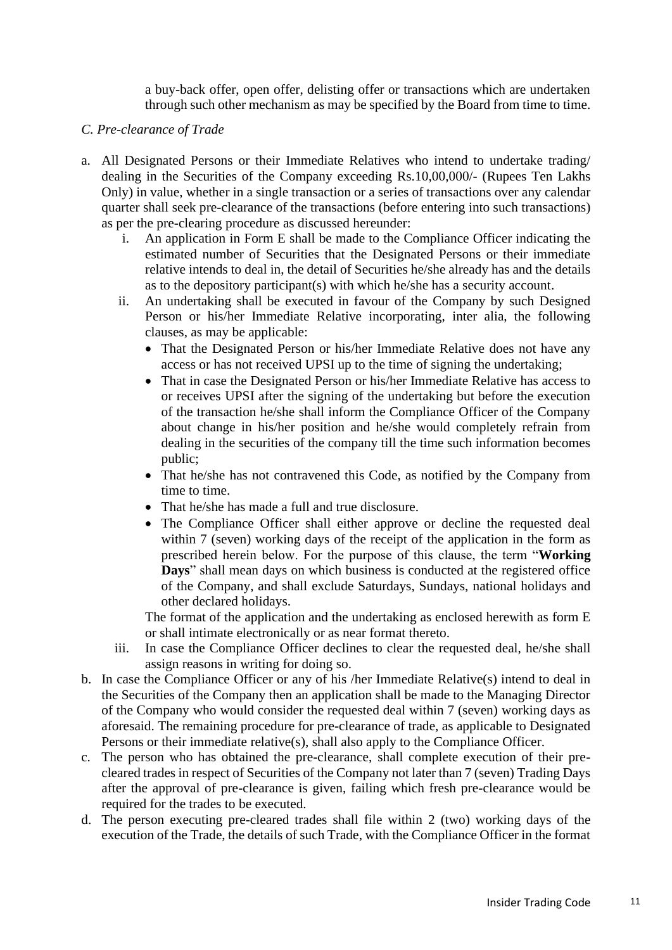a buy-back offer, open offer, delisting offer or transactions which are undertaken through such other mechanism as may be specified by the Board from time to time.

#### *C. Pre-clearance of Trade*

- a. All Designated Persons or their Immediate Relatives who intend to undertake trading/ dealing in the Securities of the Company exceeding Rs.10,00,000/- (Rupees Ten Lakhs Only) in value, whether in a single transaction or a series of transactions over any calendar quarter shall seek pre-clearance of the transactions (before entering into such transactions) as per the pre-clearing procedure as discussed hereunder:
	- i. An application in Form E shall be made to the Compliance Officer indicating the estimated number of Securities that the Designated Persons or their immediate relative intends to deal in, the detail of Securities he/she already has and the details as to the depository participant(s) with which he/she has a security account.
	- ii. An undertaking shall be executed in favour of the Company by such Designed Person or his/her Immediate Relative incorporating, inter alia, the following clauses, as may be applicable:
		- That the Designated Person or his/her Immediate Relative does not have any access or has not received UPSI up to the time of signing the undertaking;
		- That in case the Designated Person or his/her Immediate Relative has access to or receives UPSI after the signing of the undertaking but before the execution of the transaction he/she shall inform the Compliance Officer of the Company about change in his/her position and he/she would completely refrain from dealing in the securities of the company till the time such information becomes public;
		- That he/she has not contravened this Code, as notified by the Company from time to time.
		- That he/she has made a full and true disclosure.
		- The Compliance Officer shall either approve or decline the requested deal within 7 (seven) working days of the receipt of the application in the form as prescribed herein below. For the purpose of this clause, the term "**Working Days**" shall mean days on which business is conducted at the registered office of the Company, and shall exclude Saturdays, Sundays, national holidays and other declared holidays.

The format of the application and the undertaking as enclosed herewith as form E or shall intimate electronically or as near format thereto.

- iii. In case the Compliance Officer declines to clear the requested deal, he/she shall assign reasons in writing for doing so.
- b. In case the Compliance Officer or any of his /her Immediate Relative(s) intend to deal in the Securities of the Company then an application shall be made to the Managing Director of the Company who would consider the requested deal within 7 (seven) working days as aforesaid. The remaining procedure for pre-clearance of trade, as applicable to Designated Persons or their immediate relative(s), shall also apply to the Compliance Officer.
- c. The person who has obtained the pre-clearance, shall complete execution of their precleared trades in respect of Securities of the Company not later than 7 (seven) Trading Days after the approval of pre-clearance is given, failing which fresh pre-clearance would be required for the trades to be executed.
- d. The person executing pre-cleared trades shall file within 2 (two) working days of the execution of the Trade, the details of such Trade, with the Compliance Officer in the format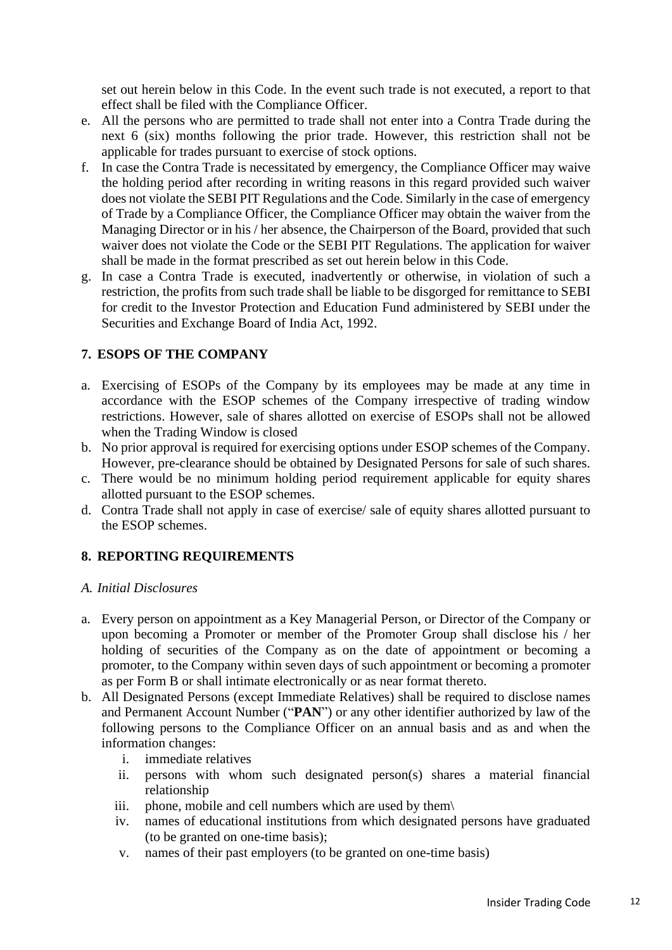set out herein below in this Code. In the event such trade is not executed, a report to that effect shall be filed with the Compliance Officer.

- e. All the persons who are permitted to trade shall not enter into a Contra Trade during the next 6 (six) months following the prior trade. However, this restriction shall not be applicable for trades pursuant to exercise of stock options.
- f. In case the Contra Trade is necessitated by emergency, the Compliance Officer may waive the holding period after recording in writing reasons in this regard provided such waiver does not violate the SEBI PIT Regulations and the Code. Similarly in the case of emergency of Trade by a Compliance Officer, the Compliance Officer may obtain the waiver from the Managing Director or in his / her absence, the Chairperson of the Board, provided that such waiver does not violate the Code or the SEBI PIT Regulations. The application for waiver shall be made in the format prescribed as set out herein below in this Code.
- g. In case a Contra Trade is executed, inadvertently or otherwise, in violation of such a restriction, the profits from such trade shall be liable to be disgorged for remittance to SEBI for credit to the Investor Protection and Education Fund administered by SEBI under the Securities and Exchange Board of India Act, 1992.

### **7. ESOPS OF THE COMPANY**

- a. Exercising of ESOPs of the Company by its employees may be made at any time in accordance with the ESOP schemes of the Company irrespective of trading window restrictions. However, sale of shares allotted on exercise of ESOPs shall not be allowed when the Trading Window is closed
- b. No prior approval is required for exercising options under ESOP schemes of the Company. However, pre-clearance should be obtained by Designated Persons for sale of such shares.
- c. There would be no minimum holding period requirement applicable for equity shares allotted pursuant to the ESOP schemes.
- d. Contra Trade shall not apply in case of exercise/ sale of equity shares allotted pursuant to the ESOP schemes.

### **8. REPORTING REQUIREMENTS**

#### *A. Initial Disclosures*

- a. Every person on appointment as a Key Managerial Person, or Director of the Company or upon becoming a Promoter or member of the Promoter Group shall disclose his / her holding of securities of the Company as on the date of appointment or becoming a promoter, to the Company within seven days of such appointment or becoming a promoter as per Form B or shall intimate electronically or as near format thereto.
- b. All Designated Persons (except Immediate Relatives) shall be required to disclose names and Permanent Account Number ("**PAN**") or any other identifier authorized by law of the following persons to the Compliance Officer on an annual basis and as and when the information changes:
	- i. immediate relatives
	- ii. persons with whom such designated person(s) shares a material financial relationship
	- iii. phone, mobile and cell numbers which are used by them
	- iv. names of educational institutions from which designated persons have graduated (to be granted on one-time basis);
	- v. names of their past employers (to be granted on one-time basis)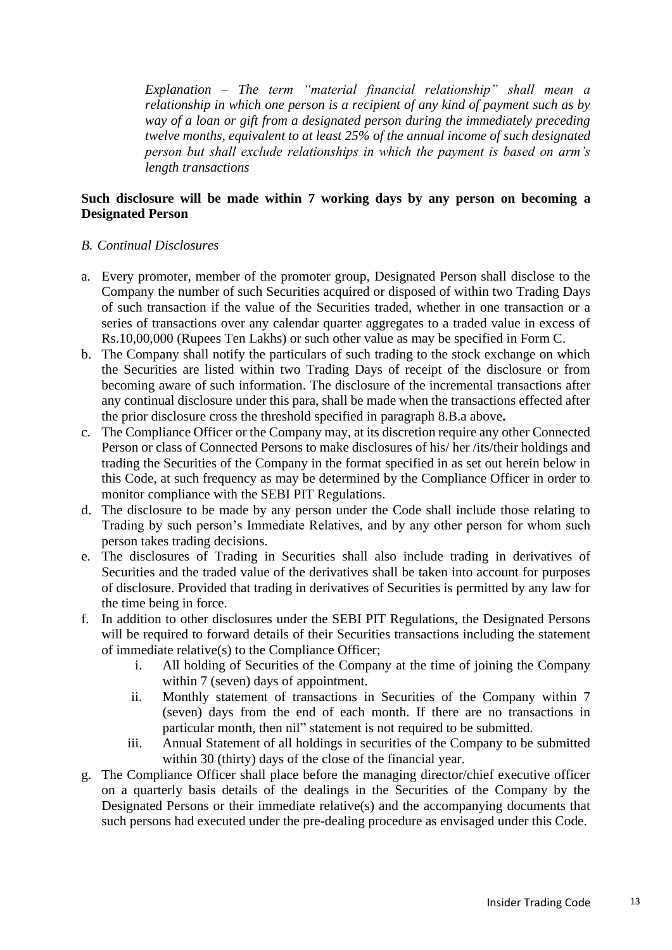*Explanation – The term "material financial relationship" shall mean a relationship in which one person is a recipient of any kind of payment such as by way of a loan or gift from a designated person during the immediately preceding twelve months, equivalent to at least 25% of the annual income of such designated person but shall exclude relationships in which the payment is based on arm's length transactions*

#### **Such disclosure will be made within 7 working days by any person on becoming a Designated Person**

#### *B. Continual Disclosures*

- a. Every promoter, member of the promoter group, Designated Person shall disclose to the Company the number of such Securities acquired or disposed of within two Trading Days of such transaction if the value of the Securities traded, whether in one transaction or a series of transactions over any calendar quarter aggregates to a traded value in excess of Rs.10,00,000 (Rupees Ten Lakhs) or such other value as may be specified in Form C.
- b. The Company shall notify the particulars of such trading to the stock exchange on which the Securities are listed within two Trading Days of receipt of the disclosure or from becoming aware of such information. The disclosure of the incremental transactions after any continual disclosure under this para, shall be made when the transactions effected after the prior disclosure cross the threshold specified in paragraph 8.B.a above**.**
- c. The Compliance Officer or the Company may, at its discretion require any other Connected Person or class of Connected Persons to make disclosures of his/ her /its/their holdings and trading the Securities of the Company in the format specified in as set out herein below in this Code, at such frequency as may be determined by the Compliance Officer in order to monitor compliance with the SEBI PIT Regulations.
- d. The disclosure to be made by any person under the Code shall include those relating to Trading by such person's Immediate Relatives, and by any other person for whom such person takes trading decisions.
- e. The disclosures of Trading in Securities shall also include trading in derivatives of Securities and the traded value of the derivatives shall be taken into account for purposes of disclosure. Provided that trading in derivatives of Securities is permitted by any law for the time being in force.
- f. In addition to other disclosures under the SEBI PIT Regulations, the Designated Persons will be required to forward details of their Securities transactions including the statement of immediate relative(s) to the Compliance Officer;
	- i. All holding of Securities of the Company at the time of joining the Company within 7 (seven) days of appointment.
	- ii. Monthly statement of transactions in Securities of the Company within 7 (seven) days from the end of each month. If there are no transactions in particular month, then nil" statement is not required to be submitted.
	- iii. Annual Statement of all holdings in securities of the Company to be submitted within 30 (thirty) days of the close of the financial year.
- g. The Compliance Officer shall place before the managing director/chief executive officer on a quarterly basis details of the dealings in the Securities of the Company by the Designated Persons or their immediate relative(s) and the accompanying documents that such persons had executed under the pre-dealing procedure as envisaged under this Code.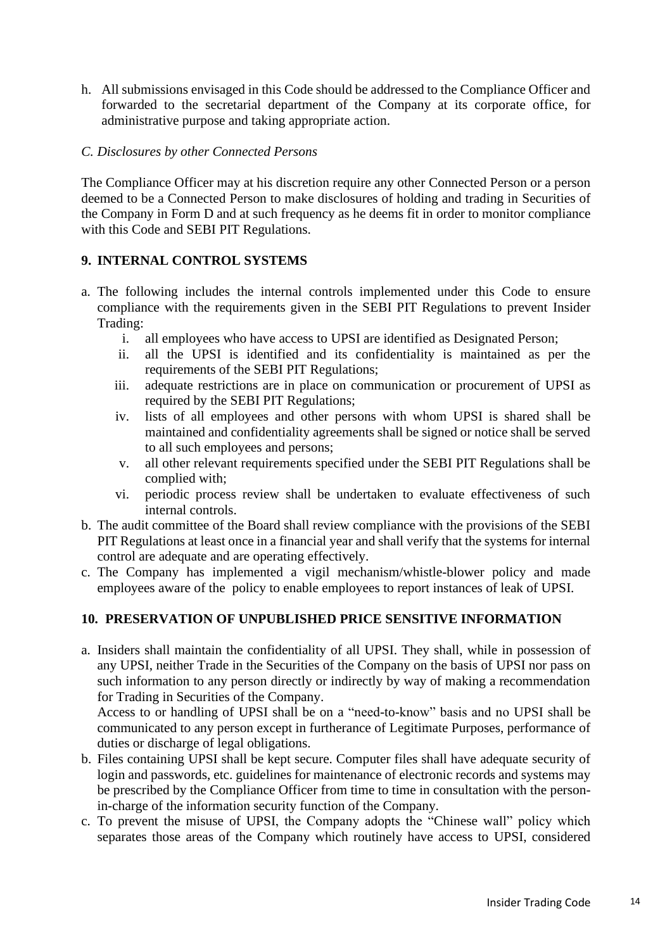h. All submissions envisaged in this Code should be addressed to the Compliance Officer and forwarded to the secretarial department of the Company at its corporate office, for administrative purpose and taking appropriate action.

#### *C. Disclosures by other Connected Persons*

The Compliance Officer may at his discretion require any other Connected Person or a person deemed to be a Connected Person to make disclosures of holding and trading in Securities of the Company in Form D and at such frequency as he deems fit in order to monitor compliance with this Code and SEBI PIT Regulations.

#### **9. INTERNAL CONTROL SYSTEMS**

- a. The following includes the internal controls implemented under this Code to ensure compliance with the requirements given in the SEBI PIT Regulations to prevent Insider Trading:
	- i. all employees who have access to UPSI are identified as Designated Person;
	- ii. all the UPSI is identified and its confidentiality is maintained as per the requirements of the SEBI PIT Regulations;
	- iii. adequate restrictions are in place on communication or procurement of UPSI as required by the SEBI PIT Regulations;
	- iv. lists of all employees and other persons with whom UPSI is shared shall be maintained and confidentiality agreements shall be signed or notice shall be served to all such employees and persons;
	- v. all other relevant requirements specified under the SEBI PIT Regulations shall be complied with;
	- vi. periodic process review shall be undertaken to evaluate effectiveness of such internal controls.
- b. The audit committee of the Board shall review compliance with the provisions of the SEBI PIT Regulations at least once in a financial year and shall verify that the systems for internal control are adequate and are operating effectively.
- c. The Company has implemented a vigil mechanism/whistle-blower policy and made employees aware of the policy to enable employees to report instances of leak of UPSI.

#### **10. PRESERVATION OF UNPUBLISHED PRICE SENSITIVE INFORMATION**

a. Insiders shall maintain the confidentiality of all UPSI. They shall, while in possession of any UPSI, neither Trade in the Securities of the Company on the basis of UPSI nor pass on such information to any person directly or indirectly by way of making a recommendation for Trading in Securities of the Company.

Access to or handling of UPSI shall be on a "need-to-know" basis and no UPSI shall be communicated to any person except in furtherance of Legitimate Purposes, performance of duties or discharge of legal obligations.

- b. Files containing UPSI shall be kept secure. Computer files shall have adequate security of login and passwords, etc. guidelines for maintenance of electronic records and systems may be prescribed by the Compliance Officer from time to time in consultation with the personin-charge of the information security function of the Company.
- c. To prevent the misuse of UPSI, the Company adopts the "Chinese wall" policy which separates those areas of the Company which routinely have access to UPSI, considered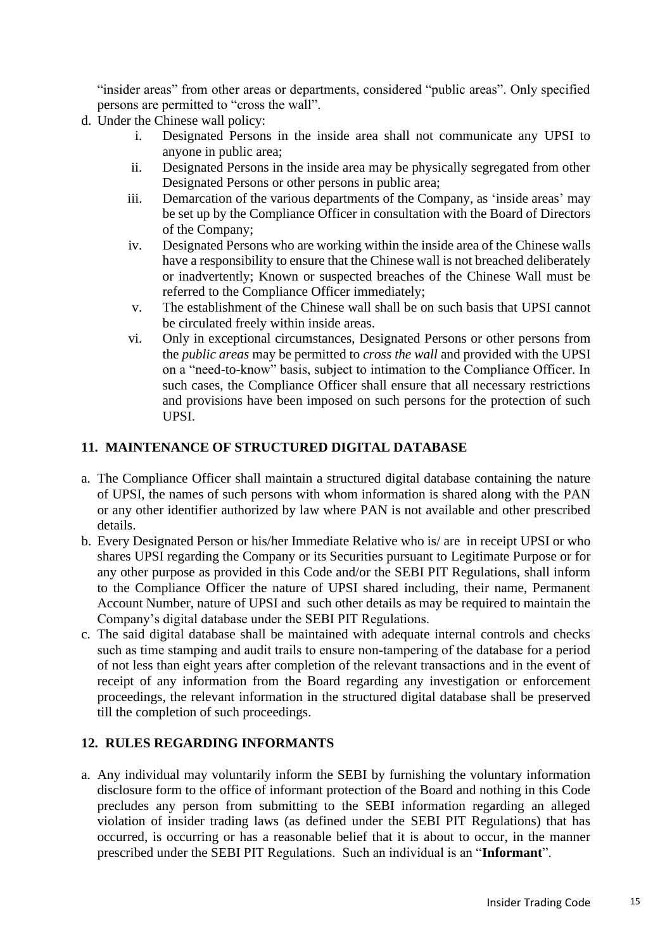"insider areas" from other areas or departments, considered "public areas". Only specified persons are permitted to "cross the wall".

- d. Under the Chinese wall policy:
	- i. Designated Persons in the inside area shall not communicate any UPSI to anyone in public area;
	- ii. Designated Persons in the inside area may be physically segregated from other Designated Persons or other persons in public area;
	- iii. Demarcation of the various departments of the Company, as 'inside areas' may be set up by the Compliance Officer in consultation with the Board of Directors of the Company;
	- iv. Designated Persons who are working within the inside area of the Chinese walls have a responsibility to ensure that the Chinese wall is not breached deliberately or inadvertently; Known or suspected breaches of the Chinese Wall must be referred to the Compliance Officer immediately;
	- v. The establishment of the Chinese wall shall be on such basis that UPSI cannot be circulated freely within inside areas.
	- vi. Only in exceptional circumstances, Designated Persons or other persons from the *public areas* may be permitted to *cross the wall* and provided with the UPSI on a "need-to-know" basis, subject to intimation to the Compliance Officer. In such cases, the Compliance Officer shall ensure that all necessary restrictions and provisions have been imposed on such persons for the protection of such UPSI.

#### **11. MAINTENANCE OF STRUCTURED DIGITAL DATABASE**

- a. The Compliance Officer shall maintain a structured digital database containing the nature of UPSI, the names of such persons with whom information is shared along with the PAN or any other identifier authorized by law where PAN is not available and other prescribed details.
- b. Every Designated Person or his/her Immediate Relative who is/ are in receipt UPSI or who shares UPSI regarding the Company or its Securities pursuant to Legitimate Purpose or for any other purpose as provided in this Code and/or the SEBI PIT Regulations, shall inform to the Compliance Officer the nature of UPSI shared including, their name, Permanent Account Number, nature of UPSI and such other details as may be required to maintain the Company's digital database under the SEBI PIT Regulations.
- c. The said digital database shall be maintained with adequate internal controls and checks such as time stamping and audit trails to ensure non-tampering of the database for a period of not less than eight years after completion of the relevant transactions and in the event of receipt of any information from the Board regarding any investigation or enforcement proceedings, the relevant information in the structured digital database shall be preserved till the completion of such proceedings.

#### **12. RULES REGARDING INFORMANTS**

a. Any individual may voluntarily inform the SEBI by furnishing the voluntary information disclosure form to the office of informant protection of the Board and nothing in this Code precludes any person from submitting to the SEBI information regarding an alleged violation of insider trading laws (as defined under the SEBI PIT Regulations) that has occurred, is occurring or has a reasonable belief that it is about to occur, in the manner prescribed under the SEBI PIT Regulations. Such an individual is an "**Informant**".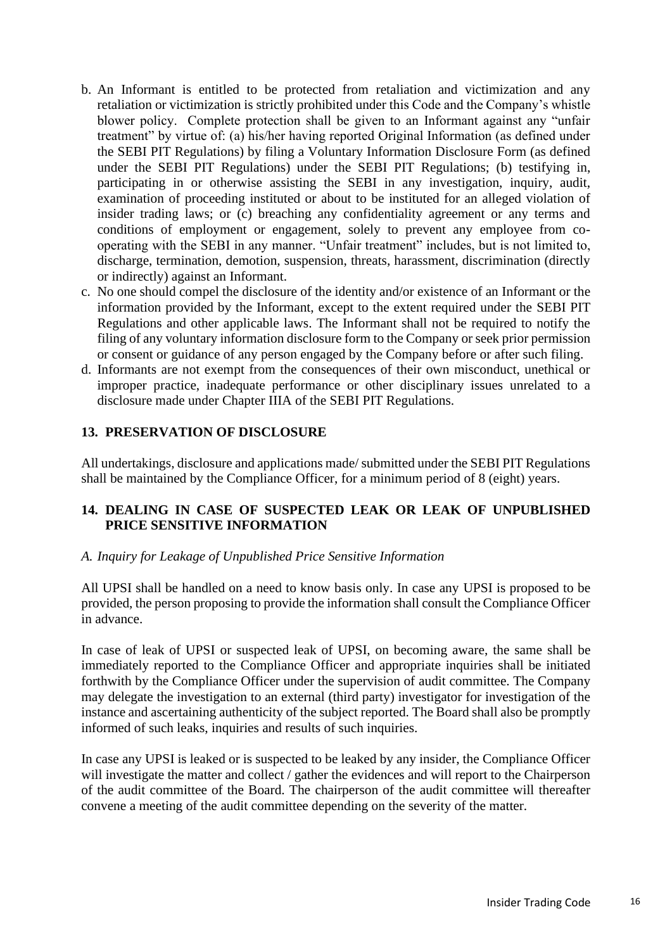- b. An Informant is entitled to be protected from retaliation and victimization and any retaliation or victimization is strictly prohibited under this Code and the Company's whistle blower policy. Complete protection shall be given to an Informant against any "unfair treatment" by virtue of: (a) his/her having reported Original Information (as defined under the SEBI PIT Regulations) by filing a Voluntary Information Disclosure Form (as defined under the SEBI PIT Regulations) under the SEBI PIT Regulations; (b) testifying in, participating in or otherwise assisting the SEBI in any investigation, inquiry, audit, examination of proceeding instituted or about to be instituted for an alleged violation of insider trading laws; or (c) breaching any confidentiality agreement or any terms and conditions of employment or engagement, solely to prevent any employee from cooperating with the SEBI in any manner. "Unfair treatment" includes, but is not limited to, discharge, termination, demotion, suspension, threats, harassment, discrimination (directly or indirectly) against an Informant.
- c. No one should compel the disclosure of the identity and/or existence of an Informant or the information provided by the Informant, except to the extent required under the SEBI PIT Regulations and other applicable laws. The Informant shall not be required to notify the filing of any voluntary information disclosure form to the Company or seek prior permission or consent or guidance of any person engaged by the Company before or after such filing.
- d. Informants are not exempt from the consequences of their own misconduct, unethical or improper practice, inadequate performance or other disciplinary issues unrelated to a disclosure made under Chapter IIIA of the SEBI PIT Regulations.

#### **13. PRESERVATION OF DISCLOSURE**

All undertakings, disclosure and applications made/ submitted under the SEBI PIT Regulations shall be maintained by the Compliance Officer, for a minimum period of 8 (eight) years.

#### **14. DEALING IN CASE OF SUSPECTED LEAK OR LEAK OF UNPUBLISHED PRICE SENSITIVE INFORMATION**

#### *A. Inquiry for Leakage of Unpublished Price Sensitive Information*

All UPSI shall be handled on a need to know basis only. In case any UPSI is proposed to be provided, the person proposing to provide the information shall consult the Compliance Officer in advance.

In case of leak of UPSI or suspected leak of UPSI, on becoming aware, the same shall be immediately reported to the Compliance Officer and appropriate inquiries shall be initiated forthwith by the Compliance Officer under the supervision of audit committee. The Company may delegate the investigation to an external (third party) investigator for investigation of the instance and ascertaining authenticity of the subject reported. The Board shall also be promptly informed of such leaks, inquiries and results of such inquiries.

In case any UPSI is leaked or is suspected to be leaked by any insider, the Compliance Officer will investigate the matter and collect / gather the evidences and will report to the Chairperson of the audit committee of the Board. The chairperson of the audit committee will thereafter convene a meeting of the audit committee depending on the severity of the matter.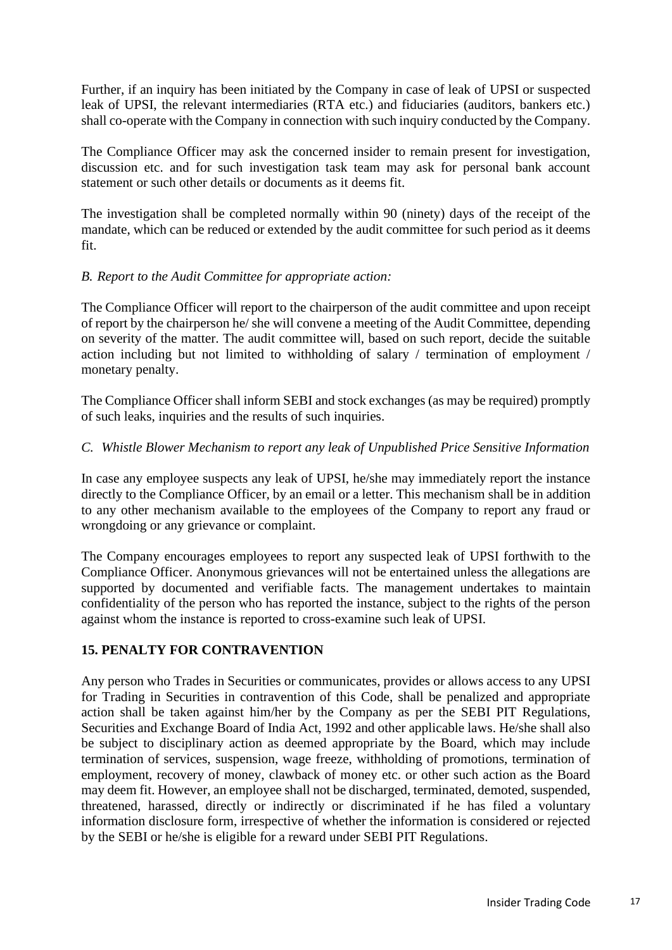Further, if an inquiry has been initiated by the Company in case of leak of UPSI or suspected leak of UPSI, the relevant intermediaries (RTA etc.) and fiduciaries (auditors, bankers etc.) shall co-operate with the Company in connection with such inquiry conducted by the Company.

The Compliance Officer may ask the concerned insider to remain present for investigation, discussion etc. and for such investigation task team may ask for personal bank account statement or such other details or documents as it deems fit.

The investigation shall be completed normally within 90 (ninety) days of the receipt of the mandate, which can be reduced or extended by the audit committee for such period as it deems fit.

#### *B. Report to the Audit Committee for appropriate action:*

The Compliance Officer will report to the chairperson of the audit committee and upon receipt of report by the chairperson he/ she will convene a meeting of the Audit Committee, depending on severity of the matter. The audit committee will, based on such report, decide the suitable action including but not limited to withholding of salary / termination of employment / monetary penalty.

The Compliance Officer shall inform SEBI and stock exchanges (as may be required) promptly of such leaks, inquiries and the results of such inquiries.

#### *C. Whistle Blower Mechanism to report any leak of Unpublished Price Sensitive Information*

In case any employee suspects any leak of UPSI, he/she may immediately report the instance directly to the Compliance Officer, by an email or a letter. This mechanism shall be in addition to any other mechanism available to the employees of the Company to report any fraud or wrongdoing or any grievance or complaint.

The Company encourages employees to report any suspected leak of UPSI forthwith to the Compliance Officer. Anonymous grievances will not be entertained unless the allegations are supported by documented and verifiable facts. The management undertakes to maintain confidentiality of the person who has reported the instance, subject to the rights of the person against whom the instance is reported to cross-examine such leak of UPSI.

#### **15. PENALTY FOR CONTRAVENTION**

Any person who Trades in Securities or communicates, provides or allows access to any UPSI for Trading in Securities in contravention of this Code, shall be penalized and appropriate action shall be taken against him/her by the Company as per the SEBI PIT Regulations, Securities and Exchange Board of India Act, 1992 and other applicable laws. He/she shall also be subject to disciplinary action as deemed appropriate by the Board, which may include termination of services, suspension, wage freeze, withholding of promotions, termination of employment, recovery of money, clawback of money etc. or other such action as the Board may deem fit. However, an employee shall not be discharged, terminated, demoted, suspended, threatened, harassed, directly or indirectly or discriminated if he has filed a voluntary information disclosure form, irrespective of whether the information is considered or rejected by the SEBI or he/she is eligible for a reward under SEBI PIT Regulations.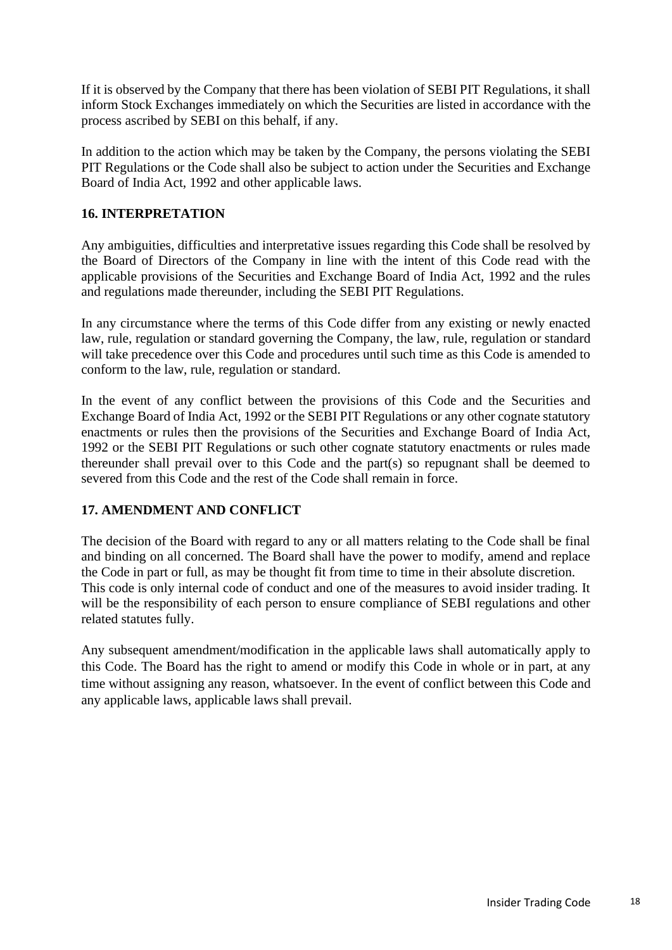If it is observed by the Company that there has been violation of SEBI PIT Regulations, it shall inform Stock Exchanges immediately on which the Securities are listed in accordance with the process ascribed by SEBI on this behalf, if any.

In addition to the action which may be taken by the Company, the persons violating the SEBI PIT Regulations or the Code shall also be subject to action under the Securities and Exchange Board of India Act, 1992 and other applicable laws.

#### **16. INTERPRETATION**

Any ambiguities, difficulties and interpretative issues regarding this Code shall be resolved by the Board of Directors of the Company in line with the intent of this Code read with the applicable provisions of the Securities and Exchange Board of India Act, 1992 and the rules and regulations made thereunder, including the SEBI PIT Regulations.

In any circumstance where the terms of this Code differ from any existing or newly enacted law, rule, regulation or standard governing the Company, the law, rule, regulation or standard will take precedence over this Code and procedures until such time as this Code is amended to conform to the law, rule, regulation or standard.

In the event of any conflict between the provisions of this Code and the Securities and Exchange Board of India Act, 1992 or the SEBI PIT Regulations or any other cognate statutory enactments or rules then the provisions of the Securities and Exchange Board of India Act, 1992 or the SEBI PIT Regulations or such other cognate statutory enactments or rules made thereunder shall prevail over to this Code and the part(s) so repugnant shall be deemed to severed from this Code and the rest of the Code shall remain in force.

### **17. AMENDMENT AND CONFLICT**

The decision of the Board with regard to any or all matters relating to the Code shall be final and binding on all concerned. The Board shall have the power to modify, amend and replace the Code in part or full, as may be thought fit from time to time in their absolute discretion. This code is only internal code of conduct and one of the measures to avoid insider trading. It will be the responsibility of each person to ensure compliance of SEBI regulations and other related statutes fully.

Any subsequent amendment/modification in the applicable laws shall automatically apply to this Code. The Board has the right to amend or modify this Code in whole or in part, at any time without assigning any reason, whatsoever. In the event of conflict between this Code and any applicable laws, applicable laws shall prevail.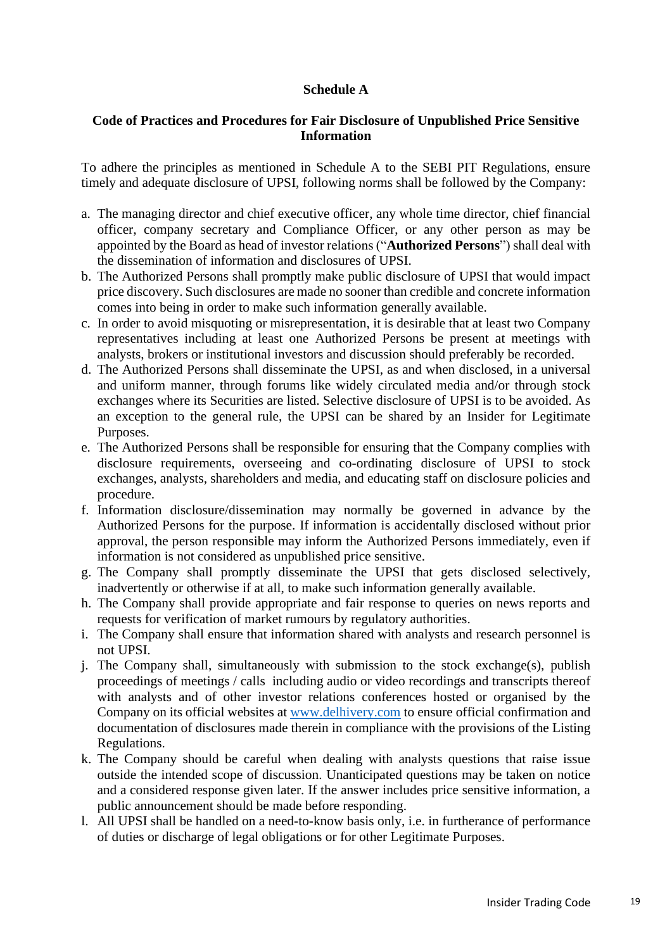#### **Schedule A**

#### **Code of Practices and Procedures for Fair Disclosure of Unpublished Price Sensitive Information**

To adhere the principles as mentioned in Schedule A to the SEBI PIT Regulations, ensure timely and adequate disclosure of UPSI, following norms shall be followed by the Company:

- a. The managing director and chief executive officer, any whole time director, chief financial officer, company secretary and Compliance Officer, or any other person as may be appointed by the Board as head of investor relations ("**Authorized Persons**") shall deal with the dissemination of information and disclosures of UPSI.
- b. The Authorized Persons shall promptly make public disclosure of UPSI that would impact price discovery. Such disclosures are made no sooner than credible and concrete information comes into being in order to make such information generally available.
- c. In order to avoid misquoting or misrepresentation, it is desirable that at least two Company representatives including at least one Authorized Persons be present at meetings with analysts, brokers or institutional investors and discussion should preferably be recorded.
- d. The Authorized Persons shall disseminate the UPSI, as and when disclosed, in a universal and uniform manner, through forums like widely circulated media and/or through stock exchanges where its Securities are listed. Selective disclosure of UPSI is to be avoided. As an exception to the general rule, the UPSI can be shared by an Insider for Legitimate Purposes.
- e. The Authorized Persons shall be responsible for ensuring that the Company complies with disclosure requirements, overseeing and co-ordinating disclosure of UPSI to stock exchanges, analysts, shareholders and media, and educating staff on disclosure policies and procedure.
- f. Information disclosure/dissemination may normally be governed in advance by the Authorized Persons for the purpose. If information is accidentally disclosed without prior approval, the person responsible may inform the Authorized Persons immediately, even if information is not considered as unpublished price sensitive.
- g. The Company shall promptly disseminate the UPSI that gets disclosed selectively, inadvertently or otherwise if at all, to make such information generally available.
- h. The Company shall provide appropriate and fair response to queries on news reports and requests for verification of market rumours by regulatory authorities.
- i. The Company shall ensure that information shared with analysts and research personnel is not UPSI.
- j. The Company shall, simultaneously with submission to the stock exchange(s), publish proceedings of meetings / calls including audio or video recordings and transcripts thereof with analysts and of other investor relations conferences hosted or organised by the Company on its official websites at [www.delhivery.com](http://www.delhivery.com/) to ensure official confirmation and documentation of disclosures made therein in compliance with the provisions of the Listing Regulations.
- k. The Company should be careful when dealing with analysts questions that raise issue outside the intended scope of discussion. Unanticipated questions may be taken on notice and a considered response given later. If the answer includes price sensitive information, a public announcement should be made before responding.
- l. All UPSI shall be handled on a need-to-know basis only, i.e. in furtherance of performance of duties or discharge of legal obligations or for other Legitimate Purposes.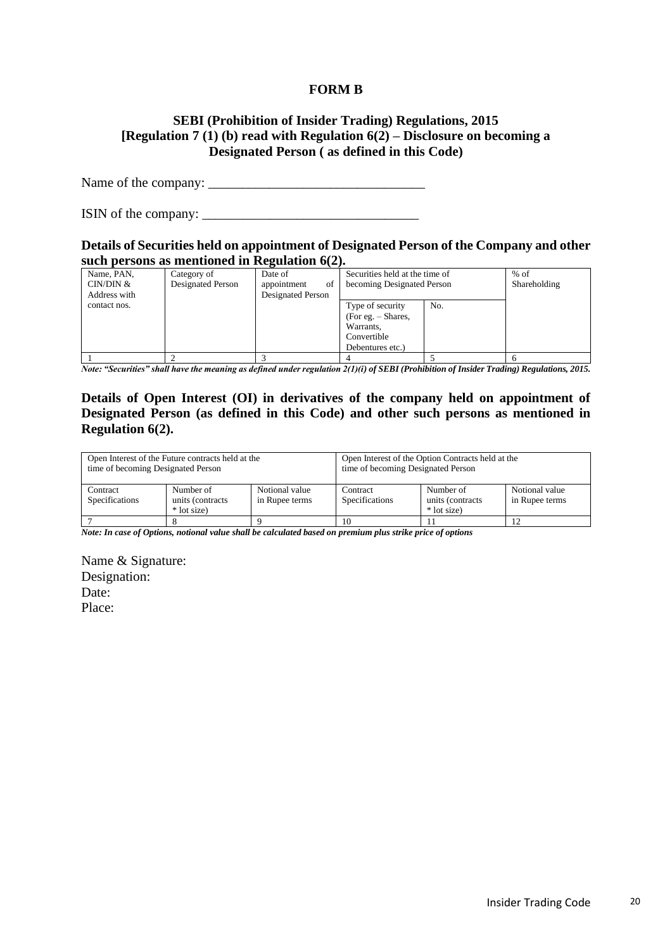#### **FORM B**

#### **SEBI (Prohibition of Insider Trading) Regulations, 2015 [Regulation 7 (1) (b) read with Regulation 6(2) – Disclosure on becoming a Designated Person ( as defined in this Code)**

Name of the company:

ISIN of the company: \_\_\_\_\_\_\_\_\_\_\_\_\_\_\_\_\_\_\_\_\_\_\_\_\_\_\_\_\_\_\_\_

#### **Details of Securities held on appointment of Designated Person of the Company and other such persons as mentioned in Regulation 6(2).**

|              |                   | $\overline{\phantom{a}}$ |                                |              |  |
|--------------|-------------------|--------------------------|--------------------------------|--------------|--|
| Name, PAN,   | Category of       | Date of                  | Securities held at the time of | $%$ of       |  |
| CIN/DIN &    | Designated Person | appointment<br>of        | becoming Designated Person     | Shareholding |  |
| Address with |                   | Designated Person        |                                |              |  |
| contact nos. |                   |                          | Type of security               | No.          |  |
|              |                   |                          | $(For e.g. - Shares,$          |              |  |
|              |                   |                          | Warrants,                      |              |  |
|              |                   |                          | Convertible                    |              |  |
|              |                   |                          | Debentures etc.)               |              |  |
|              |                   |                          |                                |              |  |

*Note: "Securities" shall have the meaning as defined under regulation 2(1)(i) of SEBI (Prohibition of Insider Trading) Regulations, 2015.* 

#### **Details of Open Interest (OI) in derivatives of the company held on appointment of Designated Person (as defined in this Code) and other such persons as mentioned in Regulation 6(2).**

| time of becoming Designated Person | Open Interest of the Future contracts held at the |                                  | Open Interest of the Option Contracts held at the<br>time of becoming Designated Person |                                               |                                  |  |  |  |  |
|------------------------------------|---------------------------------------------------|----------------------------------|-----------------------------------------------------------------------------------------|-----------------------------------------------|----------------------------------|--|--|--|--|
| Contract<br>Specifications         | Number of<br>units (contracts)<br>* lot size)     | Notional value<br>in Rupee terms | Contract<br>Specifications                                                              | Number of<br>units (contracts)<br>* lot size) | Notional value<br>in Rupee terms |  |  |  |  |
|                                    |                                                   |                                  | 10                                                                                      |                                               |                                  |  |  |  |  |

*Note: In case of Options, notional value shall be calculated based on premium plus strike price of options* 

Name & Signature: Designation: Date: Place: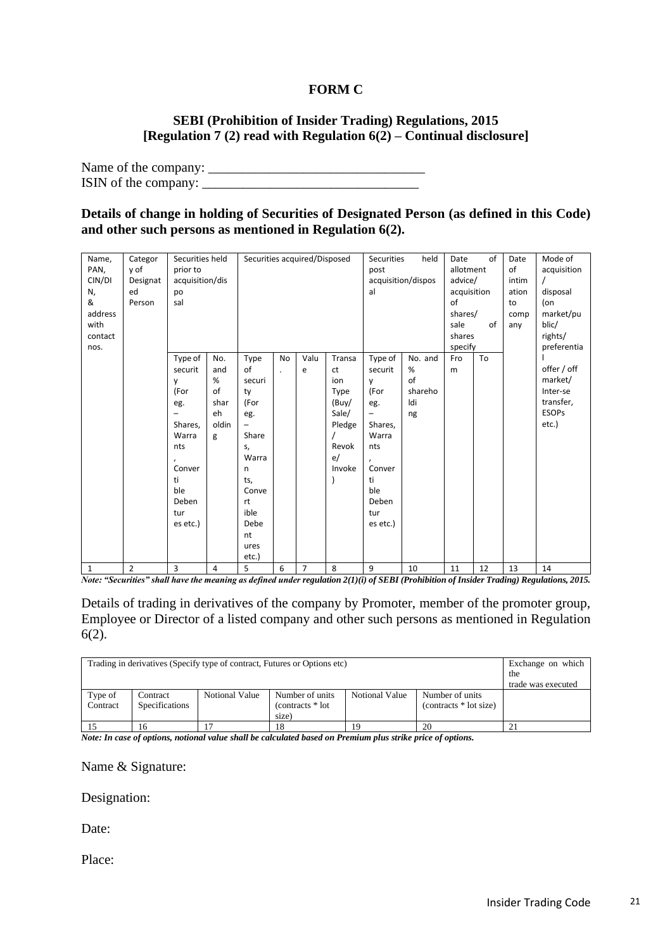#### **FORM C**

#### **SEBI (Prohibition of Insider Trading) Regulations, 2015 [Regulation 7 (2) read with Regulation 6(2) – Continual disclosure]**

Name of the company: \_\_\_\_\_\_\_\_\_\_\_\_\_\_\_\_\_\_\_\_\_\_\_\_\_\_\_\_\_\_\_\_ ISIN of the company: \_\_\_\_\_\_\_\_\_\_\_\_\_\_\_\_\_\_\_\_\_\_\_\_\_\_\_\_\_\_\_\_

**Details of change in holding of Securities of Designated Person (as defined in this Code) and other such persons as mentioned in Regulation 6(2).** 

| Name,<br>PAN,<br>CIN/DI<br>N,<br>&<br>address<br>with<br>contact<br>nos. | Categor<br>y of<br>Designat<br>ed<br>Person | Securities held<br>prior to<br>acquisition/dis<br>po<br>sal                                                          |                                                   | Securities acquired/Disposed                                                                                                                                    |                                   |                |                                                                                  | <b>Securities</b><br>post<br>al                                                                                                                        | held<br>acquisition/dispos                    | of<br>allotment<br>advice/<br>acquisition<br>shares/<br>of<br>shares<br>specify | Date<br>of<br>intim<br>ation<br>to<br>comp<br>any | Mode of<br>acquisition<br>disposal<br>(on<br>market/pu<br>blic/<br>rights/<br>preferentia |                                                                          |
|--------------------------------------------------------------------------|---------------------------------------------|----------------------------------------------------------------------------------------------------------------------|---------------------------------------------------|-----------------------------------------------------------------------------------------------------------------------------------------------------------------|-----------------------------------|----------------|----------------------------------------------------------------------------------|--------------------------------------------------------------------------------------------------------------------------------------------------------|-----------------------------------------------|---------------------------------------------------------------------------------|---------------------------------------------------|-------------------------------------------------------------------------------------------|--------------------------------------------------------------------------|
|                                                                          |                                             | Type of<br>securit<br>y<br>(For<br>eg.<br>Shares,<br>Warra<br>nts<br>Conver<br>ti<br>ble<br>Deben<br>tur<br>es etc.) | No.<br>and<br>%<br>of<br>shar<br>eh<br>oldin<br>g | Type<br>of<br>securi<br>ty<br>(For<br>eg.<br>$\overline{\phantom{0}}$<br>Share<br>s,<br>Warra<br>n<br>ts,<br>Conve<br>rt<br>ible<br>Debe<br>nt<br>ures<br>etc.) | <b>No</b><br>$\ddot{\phantom{a}}$ | Valu<br>e      | Transa<br>ct<br>ion<br>Type<br>(Buy/<br>Sale/<br>Pledge<br>Revok<br>e/<br>Invoke | Type of<br>securit<br>y<br>(For<br>eg.<br>$\qquad \qquad -$<br>Shares,<br>Warra<br>nts<br>$\lambda$<br>Conver<br>ti<br>ble<br>Deben<br>tur<br>es etc.) | No. and<br>$\%$<br>of<br>shareho<br>ldi<br>ng | Fro<br>m                                                                        | To                                                |                                                                                           | offer / off<br>market/<br>Inter-se<br>transfer,<br><b>ESOPs</b><br>etc.) |
| $\mathbf{1}$                                                             | $\overline{2}$                              | 3                                                                                                                    | 4                                                 | 5                                                                                                                                                               | 6                                 | $\overline{7}$ | 8                                                                                | 9                                                                                                                                                      | 10                                            | 11                                                                              | 12                                                | 13                                                                                        | 14                                                                       |

*Note: "Securities" shall have the meaning as defined under regulation 2(1)(i) of SEBI (Prohibition of Insider Trading) Regulations, 2015.* 

Details of trading in derivatives of the company by Promoter, member of the promoter group, Employee or Director of a listed company and other such persons as mentioned in Regulation 6(2).

| Trading in derivatives (Specify type of contract, Futures or Options etc) | Exchange on which<br>the   |                |                                               |                |                                           |                    |
|---------------------------------------------------------------------------|----------------------------|----------------|-----------------------------------------------|----------------|-------------------------------------------|--------------------|
| Type of<br>Contract                                                       | Contract<br>Specifications | Notional Value | Number of units<br>(contracts * lot)<br>size) | Notional Value | Number of units<br>(contracts * lot size) | trade was executed |
|                                                                           | 16                         |                | 18                                            | 19             | 20                                        | $\angle 1$         |

*Note: In case of options, notional value shall be calculated based on Premium plus strike price of options.* 

Name & Signature:

Designation:

Date:

Place: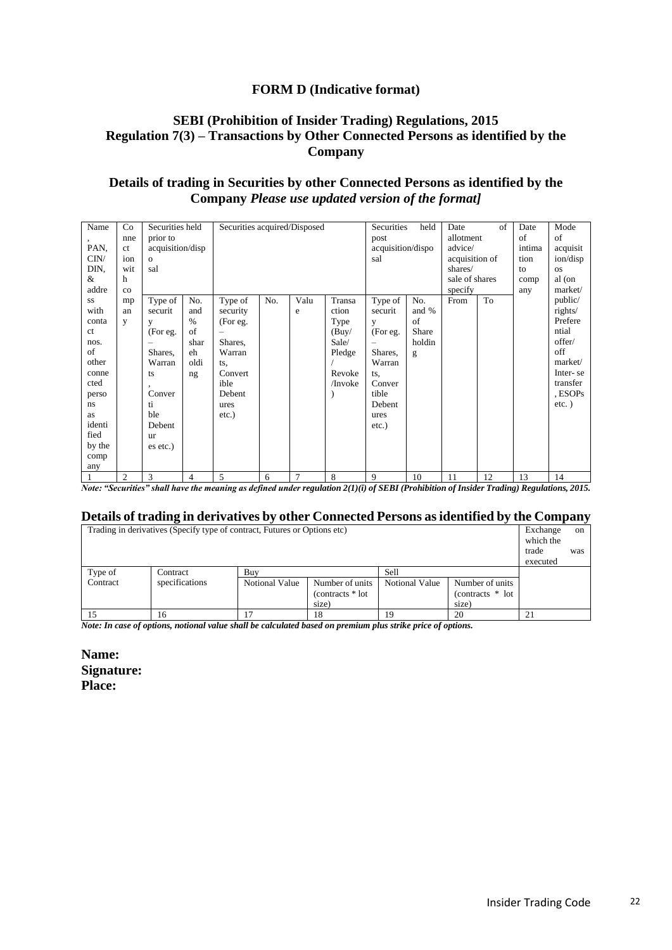#### **FORM D (Indicative format)**

#### **SEBI (Prohibition of Insider Trading) Regulations, 2015 Regulation 7(3) – Transactions by Other Connected Persons as identified by the Company**

#### **Details of trading in Securities by other Connected Persons as identified by the Company** *Please use updated version of the format]*

| Name   | Co             | Securities held  |      | Securities acquired/Disposed |     |                |         | Securities        | held   | Date           | $\alpha$ f | Date   | Mode      |
|--------|----------------|------------------|------|------------------------------|-----|----------------|---------|-------------------|--------|----------------|------------|--------|-----------|
|        | nne            | prior to         |      |                              |     |                |         | post              |        | allotment      |            | of     | of        |
| PAN,   | <sub>ct</sub>  | acquisition/disp |      |                              |     |                |         | acquisition/dispo |        | advice/        |            | intima | acquisit  |
| CIN/   | ion            | $\Omega$         |      |                              |     |                |         |                   |        | acquisition of |            | tion   | ion/disp  |
| DIN.   | wit            | sal              |      |                              |     |                |         |                   |        | shares/        |            | to     | <b>OS</b> |
| &      | h              |                  |      |                              |     |                |         |                   |        | sale of shares |            | comp   | al (on    |
| addre  | $_{\rm co}$    |                  |      |                              |     |                |         |                   |        | specify        |            | any    | market/   |
| SS     | mp             | Type of          | No.  | Type of                      | No. | Valu           | Transa  | Type of           | No.    | From           | To         |        | public/   |
| with   | an             | securit          | and  | security                     |     | e              | ction   | securit           | and %  |                |            |        | rights/   |
| conta  | y              | y                | $\%$ | (For eg.                     |     |                | Type    | y                 | of     |                |            |        | Prefere   |
| ct     |                | (For eg.         | of   |                              |     |                | (Buy/   | (For eg.          | Share  |                |            |        | ntial     |
| nos.   |                |                  | shar | Shares,                      |     |                | Sale/   |                   | holdin |                |            |        | offer/    |
| of     |                | Shares,          | eh   | Warran                       |     |                | Pledge  | Shares,           | g      |                |            |        | off       |
| other  |                | Warran           | oldi | ts,                          |     |                |         | Warran            |        |                |            |        | market/   |
| conne  |                | ts               | ng   | Convert                      |     |                | Revoke  | ts.               |        |                |            |        | Inter-se  |
| cted   |                |                  |      | ible                         |     |                | /Invoke | Conver            |        |                |            |        | transfer  |
| perso  |                | Conver           |      | Debent                       |     |                |         | tible             |        |                |            |        | , ESOPs   |
| ns.    |                | ti               |      | ures                         |     |                |         | Debent            |        |                |            |        | $etc.$ )  |
| as     |                | ble              |      | $etc.$ )                     |     |                |         | ures              |        |                |            |        |           |
| identi |                | Debent           |      |                              |     |                |         | $etc.$ )          |        |                |            |        |           |
| fied   |                | ur               |      |                              |     |                |         |                   |        |                |            |        |           |
| by the |                | es etc.)         |      |                              |     |                |         |                   |        |                |            |        |           |
| comp   |                |                  |      |                              |     |                |         |                   |        |                |            |        |           |
| any    |                |                  |      |                              |     |                |         |                   |        |                |            |        |           |
|        | $\overline{2}$ | 3                | 4    | 5                            | 6   | $\overline{7}$ | 8       | 9                 | 10     | 11             | 12         | 13     | 14        |

*Note: "Securities" shall have the meaning as defined under regulation 2(1)(i) of SEBI (Prohibition of Insider Trading) Regulations, 2015.*

#### **Details of trading in derivatives by other Connected Persons as identified by the Company**

| Trading in derivatives (Specify type of contract, Futures or Options etc) |                |                |                   |                |                    |    |  |  |
|---------------------------------------------------------------------------|----------------|----------------|-------------------|----------------|--------------------|----|--|--|
| Type of                                                                   | Contract       | Buv            |                   | Sell           |                    |    |  |  |
| Contract                                                                  | specifications | Notional Value | Number of units   | Notional Value | Number of units    |    |  |  |
|                                                                           |                |                | (contracts * lot) |                | $(contrast * lot)$ |    |  |  |
|                                                                           |                |                | size)             |                | size)              |    |  |  |
|                                                                           | 16             |                | 18                | 19             | 20                 | 21 |  |  |

*Note: In case of options, notional value shall be calculated based on premium plus strike price of options.* 

**Name: Signature: Place:**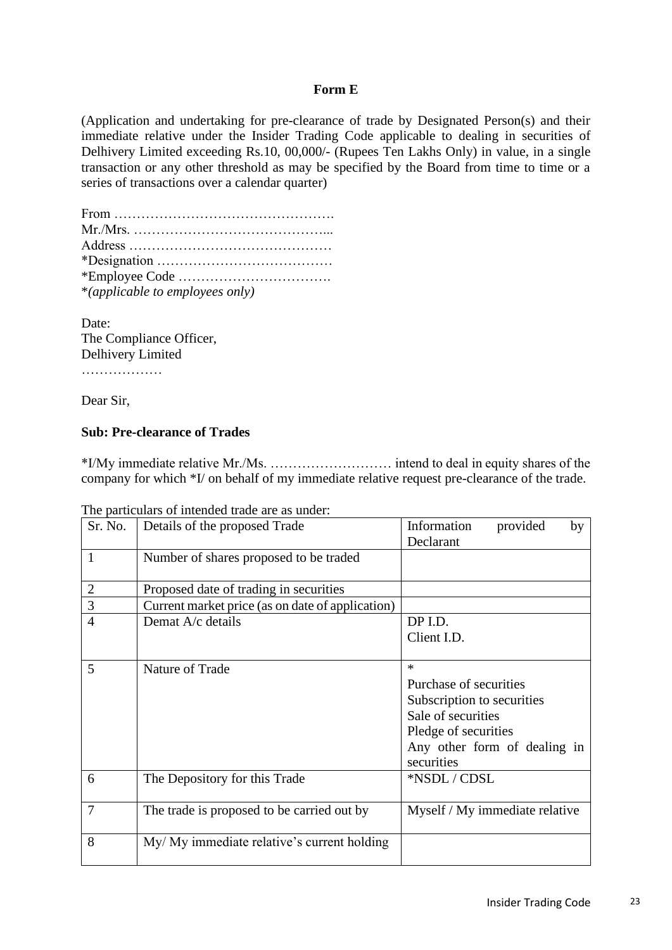#### **Form E**

(Application and undertaking for pre-clearance of trade by Designated Person(s) and their immediate relative under the Insider Trading Code applicable to dealing in securities of Delhivery Limited exceeding Rs.10, 00,000/- (Rupees Ten Lakhs Only) in value, in a single transaction or any other threshold as may be specified by the Board from time to time or a series of transactions over a calendar quarter)

|  | *(applicable to employees only) |  |  |  |  |  |  |  |  |  |  |  |  |
|--|---------------------------------|--|--|--|--|--|--|--|--|--|--|--|--|

Date: The Compliance Officer, Delhivery Limited

……………………

Dear Sir,

#### **Sub: Pre-clearance of Trades**

\*I/My immediate relative Mr./Ms. ……………………… intend to deal in equity shares of the company for which \*I/ on behalf of my immediate relative request pre-clearance of the trade.

| Sr. No.        | Details of the proposed Trade                    | Information<br>provided<br>by<br>Declarant |  |  |  |  |  |  |  |  |
|----------------|--------------------------------------------------|--------------------------------------------|--|--|--|--|--|--|--|--|
| 1              | Number of shares proposed to be traded           |                                            |  |  |  |  |  |  |  |  |
| $\overline{2}$ | Proposed date of trading in securities           |                                            |  |  |  |  |  |  |  |  |
| 3              | Current market price (as on date of application) |                                            |  |  |  |  |  |  |  |  |
| $\overline{4}$ | Demat A/c details                                | DP I.D.                                    |  |  |  |  |  |  |  |  |
|                |                                                  | Client I.D.                                |  |  |  |  |  |  |  |  |
|                |                                                  |                                            |  |  |  |  |  |  |  |  |
| 5              | Nature of Trade                                  | $\ast$                                     |  |  |  |  |  |  |  |  |
|                |                                                  | Purchase of securities                     |  |  |  |  |  |  |  |  |
|                |                                                  | Subscription to securities                 |  |  |  |  |  |  |  |  |
|                |                                                  | Sale of securities                         |  |  |  |  |  |  |  |  |
|                |                                                  | Pledge of securities                       |  |  |  |  |  |  |  |  |
|                |                                                  | Any other form of dealing in               |  |  |  |  |  |  |  |  |
|                |                                                  | securities                                 |  |  |  |  |  |  |  |  |
| 6              | The Depository for this Trade                    | *NSDL/CDSL                                 |  |  |  |  |  |  |  |  |
|                |                                                  |                                            |  |  |  |  |  |  |  |  |
| 7              | The trade is proposed to be carried out by       | Myself / My immediate relative             |  |  |  |  |  |  |  |  |
| 8              | My/ My immediate relative's current holding      |                                            |  |  |  |  |  |  |  |  |

#### The particulars of intended trade are as under: